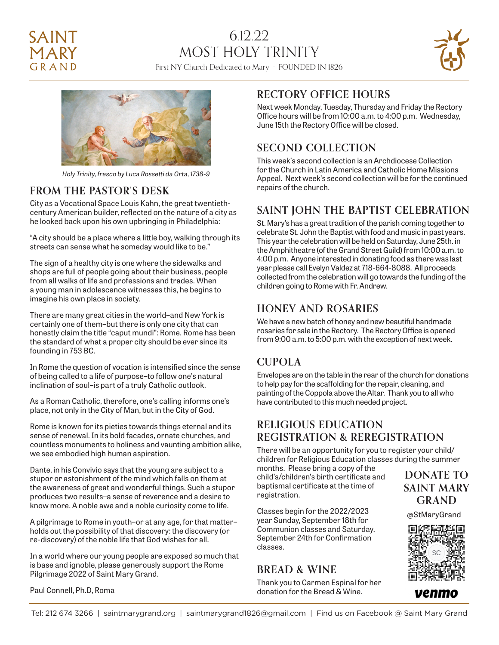## SAINT MARY GRAND

## 6.12.22 MOST HOLY TRINITY

First NY Church Dedicated to Mary · FOUNDED IN 1826





*Holy Trinity, fresco by Luca Rossetti da Orta, 1738-9* 

#### **FROM THE PASTOR'S DESK**

City as a Vocational Space Louis Kahn, the great twentiethcentury American builder, reflected on the nature of a city as he looked back upon his own upbringing in Philadelphia:

"A city should be a place where a little boy, walking through its streets can sense what he someday would like to be."

The sign of a healthy city is one where the sidewalks and shops are full of people going about their business, people from all walks of life and professions and trades. When a young man in adolescence witnesses this, he begins to imagine his own place in society.

There are many great cities in the world–and New York is certainly one of them–but there is only one city that can honestly claim the title "caput mundi": Rome. Rome has been the standard of what a proper city should be ever since its founding in 753 BC.

In Rome the question of vocation is intensified since the sense of being called to a life of purpose–to follow one's natural inclination of soul–is part of a truly Catholic outlook.

As a Roman Catholic, therefore, one's calling informs one's place, not only in the City of Man, but in the City of God.

Rome is known for its pieties towards things eternal and its sense of renewal. In its bold facades, ornate churches, and countless monuments to holiness and vaunting ambition alike, we see embodied high human aspiration.

Dante, in his Convivio says that the young are subject to a stupor or astonishment of the mind which falls on them at the awareness of great and wonderful things. Such a stupor produces two results–a sense of reverence and a desire to know more. A noble awe and a noble curiosity come to life.

A pilgrimage to Rome in youth–or at any age, for that matter– holds out the possibility of that discovery: the discovery (or re-discovery) of the noble life that God wishes for all.

In a world where our young people are exposed so much that is base and ignoble, please generously support the Rome Pilgrimage 2022 of Saint Mary Grand.

Paul Connell, Ph.D, Roma

## **RECTORY OFFICE HOURS**

Next week Monday, Tuesday, Thursday and Friday the Rectory Office hours will be from 10:00 a.m. to 4:00 p.m. Wednesday, June 15th the Rectory Office will be closed.

## **SECOND COLLECTION**

This week's second collection is an Archdiocese Collection for the Church in Latin America and Catholic Home Missions Appeal. Next week's second collection will be for the continued repairs of the church.

## **SAINT JOHN THE BAPTIST CELEBRATION**

St. Mary's has a great tradition of the parish coming together to celebrate St. John the Baptist with food and music in past years. This year the celebration will be held on Saturday, June 25th. in the Amphitheatre (of the Grand Street Guild) from 10:00 a.m. to 4:00 p.m. Anyone interested in donating food as there was last year please call Evelyn Valdez at 718-664-8088. All proceeds collected from the celebration will go towards the funding of the children going to Rome with Fr. Andrew.

## **HONEY AND ROSARIES**

We have a new batch of honey and new beautiful handmade rosaries for sale in the Rectory. The Rectory Office is opened from 9:00 a.m. to 5:00 p.m. with the exception of next week.

## **CUPOLA**

Envelopes are on the table in the rear of the church for donations to help pay for the scaffolding for the repair, cleaning, and painting of the Coppola above the Altar. Thank you to all who have contributed to this much needed project.

### **RELIGIOUS EDUCATION REGISTRATION & REREGISTRATION**

There will be an opportunity for you to register your child/ children for Religious Education classes during the summer

months. Please bring a copy of the child's/children's birth certificate and baptismal certificate at the time of registration.

Classes begin for the 2022/2023 year Sunday, September 18th for Communion classes and Saturday, September 24th for Confirmation classes.

## **BREAD & WINE**

Thank you to Carmen Espinal for her donation for the Bread & Wine.



@StMaryGrand